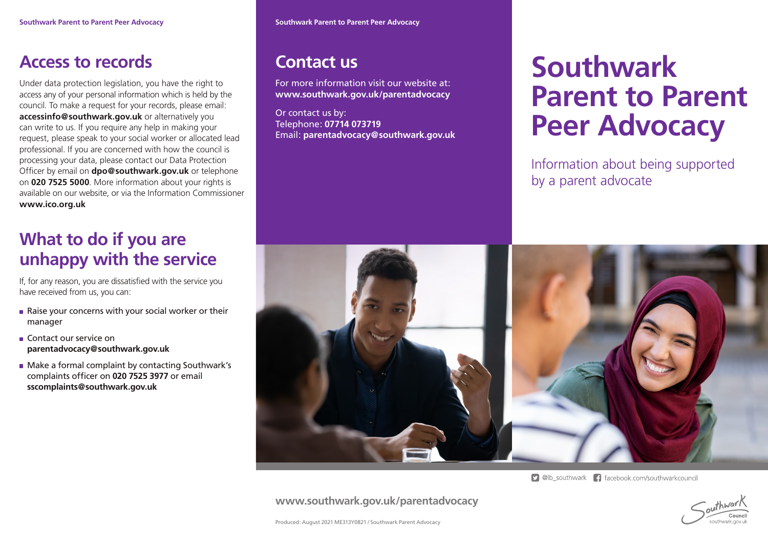#### **Access to records**

Under data protection legislation, you have the right to access any of your personal information which is held by the council. To make a request for your records, please email: **accessinfo@southwark.gov.uk** or alternatively you can write to us. If you require any help in making your request, please speak to your social worker or allocated lead professional. If you are concerned with how the council is processing your data, please contact our Data Protection Officer by email on **dpo@southwark.gov.uk** or telephone on **020 7525 5000**. More information about your rights is available on our website, or via the Information Commissioner **www.ico.org.uk**

## **What to do if you are unhappy with the service**

If, for any reason, you are dissatisfied with the service you have received from us, you can:

- Raise your concerns with your social worker or their manager
- Contact our service on **parentadvocacy@southwark.gov.uk**
- **Make a formal complaint by contacting Southwark's** complaints officer on **020 7525 3977** or email **sscomplaints@southwark.gov.uk**

#### **Contact us**

For more information visit our website at: **www.southwark.gov.uk/parentadvocacy**

Or contact us by: Telephone: **07714 073719** Email: **parentadvocacy@southwark.gov.uk**

# **Southwark Parent to Parent Peer Advocacy**

Information about being supported by a parent advocate



**9** @lb southwark **f** facebook.com/southwarkcouncil

**www.southwark.gov.uk/parentadvocacy**



Produced: August 2021 ME313Y0821 / Southwark Parent Advocacy